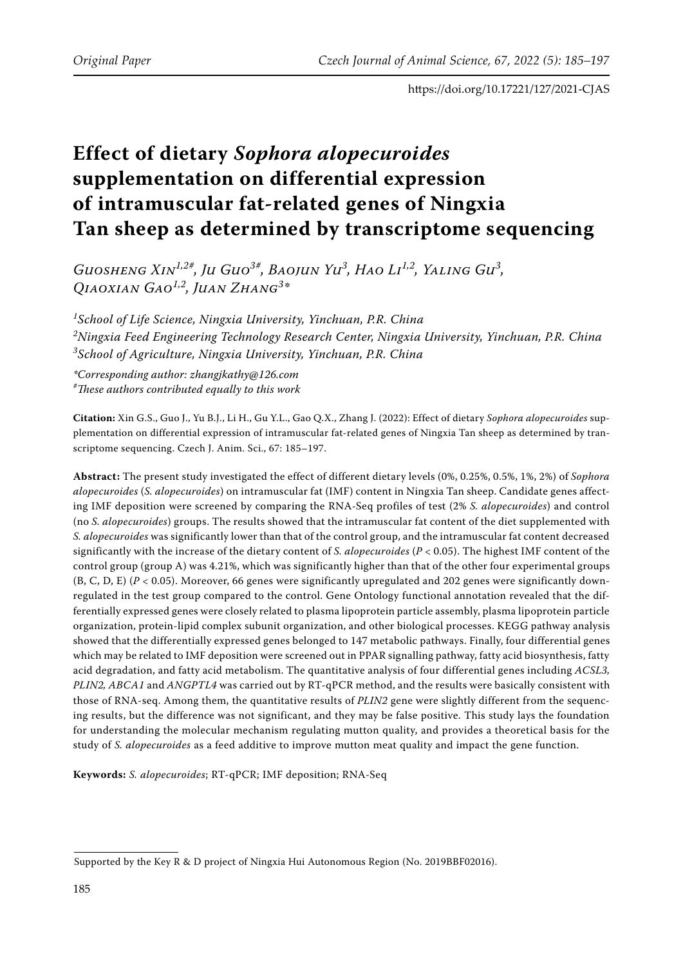# **Effect of dietary** *Sophora alopecuroides* **supplementation on differential expression of intramuscular fat-related genes of Ningxia Tan sheep as determined by transcriptome sequencing**

*Guosheng Xin1,2#, Ju Guo3#, Baojun Yu3 , Hao Li1,2, Yaling Gu3 , Qiaoxian Gao1,2, Juan Zhang3 \**

*1 School of Life Science, Ningxia University, Yinchuan, P.R. China 2 Ningxia Feed Engineering Technology Research Center, Ningxia University, Yinchuan, P.R. China 3 School of Agriculture, Ningxia University, Yinchuan, P.R. China*

*\*Corresponding author: zhangjkathy@126.com # These authors contributed equally to this work*

**Citation:** Xin G.S., Guo J., Yu B.J., Li H., Gu Y.L., Gao Q.X., Zhang J. (2022): Effect of dietary *Sophora alopecuroides* supplementation on differential expression of intramuscular fat-related genes of Ningxia Tan sheep as determined by transcriptome sequencing. Czech J. Anim. Sci., 67: 185–197.

**Abstract:** The present study investigated the effect of different dietary levels (0%, 0.25%, 0.5%, 1%, 2%) of *Sophora alopecuroides* (*S. alopecuroides*) on intramuscular fat (IMF) content in Ningxia Tan sheep. Candidate genes affecting IMF deposition were screened by comparing the RNA-Seq profiles of test (2% *S. alopecuroides*) and control (no *S. alopecuroides*) groups. The results showed that the intramuscular fat content of the diet supplemented with *S. alopecuroides* was significantly lower than that of the control group, and the intramuscular fat content decreased significantly with the increase of the dietary content of *S. alopecuroides* (*P* < 0.05). The highest IMF content of the control group (group A) was 4.21%, which was significantly higher than that of the other four experimental groups (B, C, D, E) (*P* < 0.05). Moreover, 66 genes were significantly upregulated and 202 genes were significantly downregulated in the test group compared to the control. Gene Ontology functional annotation revealed that the differentially expressed genes were closely related to plasma lipoprotein particle assembly, plasma lipoprotein particle organization, protein-lipid complex subunit organization, and other biological processes. KEGG pathway analysis showed that the differentially expressed genes belonged to 147 metabolic pathways. Finally, four differential genes which may be related to IMF deposition were screened out in PPAR signalling pathway, fatty acid biosynthesis, fatty acid degradation, and fatty acid metabolism. The quantitative analysis of four differential genes including *ACSL3, PLIN2, ABCA1* and *ANGPTL4* was carried out by RT-qPCR method, and the results were basically consistent with those of RNA-seq. Among them, the quantitative results of *PLIN2* gene were slightly different from the sequencing results, but the difference was not significant, and they may be false positive. This study lays the foundation for understanding the molecular mechanism regulating mutton quality, and provides a theoretical basis for the study of *S. alopecuroides* as a feed additive to improve mutton meat quality and impact the gene function.

**Keywords:** *S. alopecuroides*; RT-qPCR; IMF deposition; RNA-Seq

Supported by the Key R & D project of Ningxia Hui Autonomous Region (No. 2019BBF02016).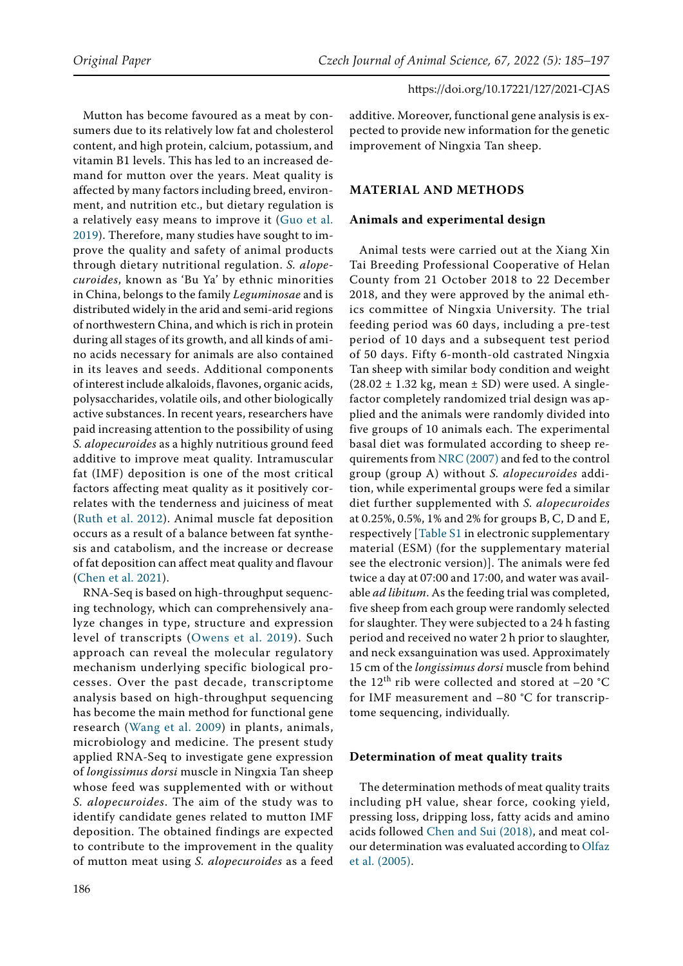Mutton has become favoured as a meat by consumers due to its relatively low fat and cholesterol content, and high protein, calcium, potassium, and vitamin B1 levels. This has led to an increased demand for mutton over the years. Meat quality is affected by many factors including breed, environment, and nutrition etc., but dietary regulation is a relatively easy means to improve it ([Guo et al.](#page-11-0)  [2019\)](#page-11-0). Therefore, many studies have sought to improve the quality and safety of animal products through dietary nutritional regulation. *S. alopecuroides*, known as 'Bu Ya' by ethnic minorities in China, belongs to the family *Leguminosae* and is distributed widely in the arid and semi-arid regions of northwestern China, and which is rich in protein during all stages of its growth, and all kinds of amino acids necessary for animals are also contained in its leaves and seeds. Additional components of interest include alkaloids, flavones, organic acids, polysaccharides, volatile oils, and other biologically active substances. In recent years, researchers have paid increasing attention to the possibility of using *S. alopecuroides* as a highly nutritious ground feed additive to improve meat quality. Intramuscular fat (IMF) deposition is one of the most critical factors affecting meat quality as it positively correlates with the tenderness and juiciness of meat ([Ruth et al. 2012](#page-12-0)). Animal muscle fat deposition occurs as a result of a balance between fat synthesis and catabolism, and the increase or decrease of fat deposition can affect meat quality and flavour [\(Chen et al. 2021](#page-11-1)).

RNA-Seq is based on high-throughput sequencing technology, which can comprehensively analyze changes in type, structure and expression level of transcripts ([Owens et al. 2019](#page-12-1)). Such approach can reveal the molecular regulatory mechanism underlying specific biological processes. Over the past decade, transcriptome analysis based on high-throughput sequencing has become the main method for functional gene research ([Wang et al. 2009](#page-12-2)) in plants, animals, microbiology and medicine. The present study applied RNA-Seq to investigate gene expression of *longissimus dorsi* muscle in Ningxia Tan sheep whose feed was supplemented with or without *S. alopecuroides*. The aim of the study was to identify candidate genes related to mutton IMF deposition. The obtained findings are expected to contribute to the improvement in the quality of mutton meat using *S. alopecuroides* as a feed additive. Moreover, functional gene analysis is expected to provide new information for the genetic improvement of Ningxia Tan sheep.

# **MATERIAL AND METHODS**

# **Animals and experimental design**

Animal tests were carried out at the Xiang Xin Tai Breeding Professional Cooperative of Helan County from 21 October 2018 to 22 December 2018, and they were approved by the animal ethics committee of Ningxia University. The trial feeding period was 60 days, including a pre-test period of 10 days and a subsequent test period of 50 days. Fifty 6-month-old castrated Ningxia Tan sheep with similar body condition and weight  $(28.02 \pm 1.32 \text{ kg}, \text{mean} \pm \text{SD})$  were used. A singlefactor completely randomized trial design was applied and the animals were randomly divided into five groups of 10 animals each. The experimental basal diet was formulated according to sheep requirements from [NRC \(2007\)](#page-12-3) and fed to the control group (group A) without *S. alopecuroides* addition, while experimental groups were fed a similar diet further supplemented with *S. alopecuroides*  at 0.25%, 0.5%, 1% and 2% for groups B, C, D and E, respectively [[Table S1](https://www.agriculturejournals.cz/web/cjas.htm?type=easForDoiArticle&id=127_2021-CJAS) in electronic supplementary material (ESM) ([for the supplementary material](https://www.agriculturejournals.cz/web/cjas.htm?type=easForDoiArticle&id=127_2021-CJAS) [see the electronic version](https://www.agriculturejournals.cz/web/cjas.htm?type=easForDoiArticle&id=127_2021-CJAS))]. The animals were fed twice a day at 07:00 and 17:00, and water was available *ad libitum*. As the feeding trial was completed, five sheep from each group were randomly selected for slaughter. They were subjected to a 24 h fasting period and received no water 2 h prior to slaughter, and neck exsanguination was used. Approximately 15 cm of the *longissimus dorsi* muscle from behind the 12<sup>th</sup> rib were collected and stored at  $-20$  °C for IMF measurement and –80 °C for transcriptome sequencing, individually.

# **Determination of meat quality traits**

The determination methods of meat quality traits including pH value, shear force, cooking yield, pressing loss, dripping loss, fatty acids and amino acids followed [Chen and Sui \(2018\)](#page-11-2), and meat colour determination was evaluated according to [Olfaz](#page-12-4) [et al. \(2005\)](#page-12-4).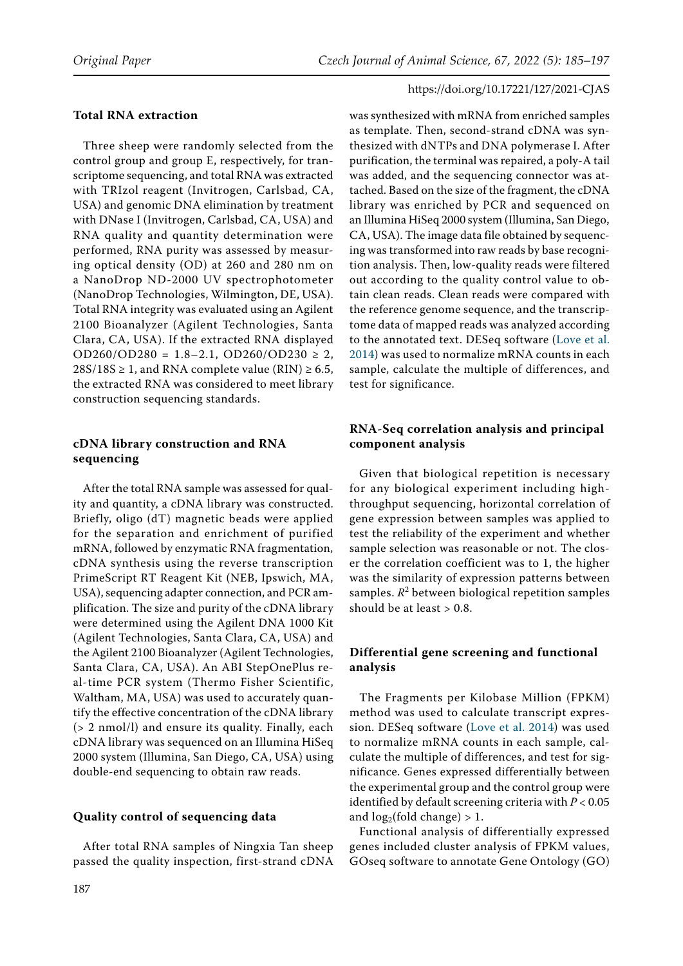#### **Total RNA extraction**

Three sheep were randomly selected from the control group and group E, respectively, for transcriptome sequencing, and total RNA was extracted with TRIzol reagent (Invitrogen, Carlsbad, CA, USA) and genomic DNA elimination by treatment with DNase I (Invitrogen, Carlsbad, CA, USA) and RNA quality and quantity determination were performed, RNA purity was assessed by measuring optical density (OD) at 260 and 280 nm on a NanoDrop ND-2000 UV spectrophotometer (NanoDrop Technologies, Wilmington, DE, USA). Total RNA integrity was evaluated using an Agilent 2100 Bioanalyzer (Agilent Technologies, Santa Clara, CA, USA). If the extracted RNA displayed OD260/OD280 = 1.8-2.1, OD260/OD230  $\geq$  2,  $28S/18S \geq 1$ , and RNA complete value (RIN)  $\geq 6.5$ , the extracted RNA was considered to meet library construction sequencing standards.

### **cDNA library construction and RNA sequencing**

After the total RNA sample was assessed for quality and quantity, a cDNA library was constructed. Briefly, oligo (dT) magnetic beads were applied for the separation and enrichment of purified mRNA, followed by enzymatic RNA fragmentation, cDNA synthesis using the reverse transcription PrimeScript RT Reagent Kit (NEB, Ipswich, MA, USA), sequencing adapter connection, and PCR amplification. The size and purity of the cDNA library were determined using the Agilent DNA 1000 Kit (Agilent Technologies, Santa Clara, CA, USA) and the Agilent 2100 Bioanalyzer (Agilent Technologies, Santa Clara, CA, USA). An ABI StepOnePlus real-time PCR system (Thermo Fisher Scientific, Waltham, MA, USA) was used to accurately quantify the effective concentration of the cDNA library (> 2 nmol/l) and ensure its quality. Finally, each cDNA library was sequenced on an Illumina HiSeq 2000 system (Illumina, San Diego, CA, USA) using double-end sequencing to obtain raw reads.

#### **Quality control of sequencing data**

After total RNA samples of Ningxia Tan sheep passed the quality inspection, first-strand cDNA was synthesized with mRNA from enriched samples as template. Then, second-strand cDNA was synthesized with dNTPs and DNA polymerase I. After purification, the terminal was repaired, a poly-A tail was added, and the sequencing connector was attached. Based on the size of the fragment, the cDNA library was enriched by PCR and sequenced on an Illumina HiSeq 2000 system (Illumina, San Diego, CA, USA). The image data file obtained by sequencing was transformed into raw reads by base recognition analysis. Then, low-quality reads were filtered out according to the quality control value to obtain clean reads. Clean reads were compared with the reference genome sequence, and the transcriptome data of mapped reads was analyzed according to the annotated text. DESeq software ([Love et al.](#page-11-3) [2014](#page-11-3)) was used to normalize mRNA counts in each sample, calculate the multiple of differences, and test for significance.

# **RNA-Seq correlation analysis and principal component analysis**

Given that biological repetition is necessary for any biological experiment including highthroughput sequencing, horizontal correlation of gene expression between samples was applied to test the reliability of the experiment and whether sample selection was reasonable or not. The closer the correlation coefficient was to 1, the higher was the similarity of expression patterns between samples.  $R^2$  between biological repetition samples should be at least  $> 0.8$ .

# **Differential gene screening and functional analysis**

The Fragments per Kilobase Million (FPKM) method was used to calculate transcript expression. DESeq software ([Love et al. 2014](#page-11-3)) was used to normalize mRNA counts in each sample, calculate the multiple of differences, and test for significance. Genes expressed differentially between the experimental group and the control group were identified by default screening criteria with *P* < 0.05 and  $log_2(fold change) > 1$ .

Functional analysis of differentially expressed genes included cluster analysis of FPKM values, GOseq software to annotate Gene Ontology (GO)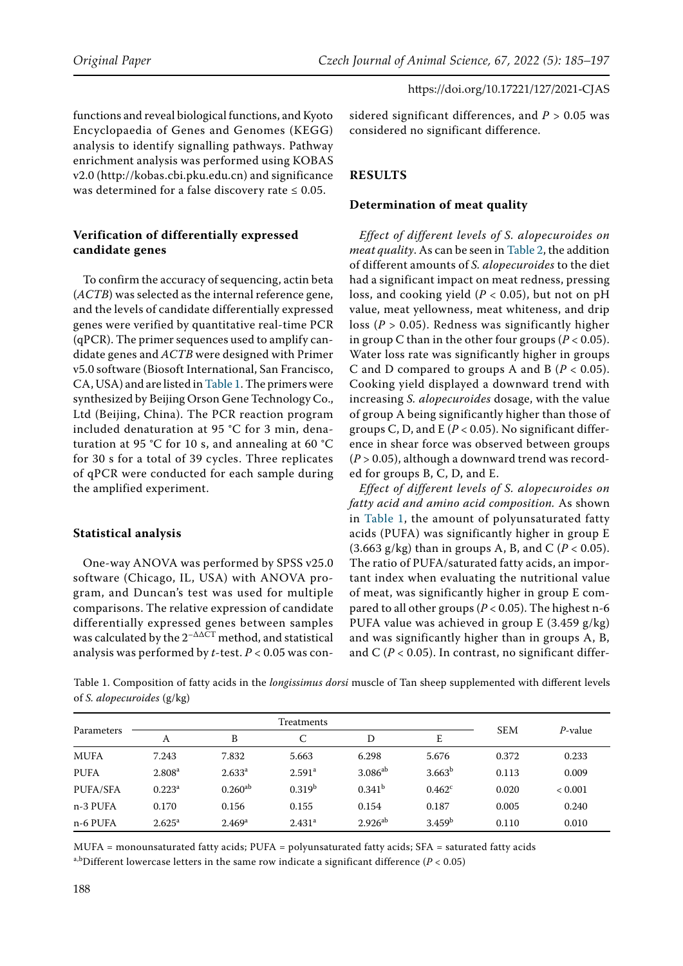functions and reveal biological functions, and Kyoto Encyclopaedia of Genes and Genomes (KEGG) analysis to identify signalling pathways. Pathway enrichment analysis was performed using KOBAS v2.0 (http://kobas.cbi.pku.edu.cn) and significance was determined for a false discovery rate  $\leq 0.05$ .

## **Verification of differentially expressed candidate genes**

To confirm the accuracy of sequencing, actin beta (*ACTB*) was selected as the internal reference gene, and the levels of candidate differentially expressed genes were verified by quantitative real-time PCR (qPCR). The primer sequences used to amplify candidate genes and *ACTB* were designed with Primer v5.0 software (Biosoft International, San Francisco, CA, USA) and are listed in Table 1. The primers were synthesized by Beijing Orson Gene Technology Co., Ltd (Beijing, China). The PCR reaction program included denaturation at 95 °C for 3 min, denaturation at 95 °C for 10 s, and annealing at 60 °C for 30 s for a total of 39 cycles. Three replicates of qPCR were conducted for each sample during the amplified experiment.

#### **Statistical analysis**

One-way ANOVA was performed by SPSS v25.0 software (Chicago, IL, USA) with ANOVA program, and Duncan's test was used for multiple comparisons. The relative expression of candidate differentially expressed genes between samples was calculated by the  $2^{-\Delta\Delta\bar{C}T}$  method, and statistical analysis was performed by *t*-test. *P* < 0.05 was considered significant differences, and  $P > 0.05$  was considered no significant difference.

# **RESULTS**

#### **Determination of meat quality**

*Effect of different levels of S. alopecuroides on meat quality*. As can be seen in Table 2, the addition of different amounts of *S. alopecuroides* to the diet had a significant impact on meat redness, pressing loss, and cooking yield (*P* < 0.05), but not on pH value, meat yellowness, meat whiteness, and drip loss (*P* > 0.05). Redness was significantly higher in group C than in the other four groups (*P* < 0.05). Water loss rate was significantly higher in groups C and D compared to groups A and B  $(P < 0.05)$ . Cooking yield displayed a downward trend with increasing *S. alopecuroides* dosage, with the value of group A being significantly higher than those of groups C, D, and E (*P* < 0.05). No significant difference in shear force was observed between groups (*P* > 0.05), although a downward trend was recorded for groups B, C, D, and E.

*Effect of different levels of S. alopecuroides on fatty acid and amino acid composition.* As shown in Table 1, the amount of polyunsaturated fatty acids (PUFA) was significantly higher in group E  $(3.663 \text{ g/kg})$  than in groups A, B, and C ( $P < 0.05$ ). The ratio of PUFA/saturated fatty acids, an important index when evaluating the nutritional value of meat, was significantly higher in group E compared to all other groups (*P* < 0.05). The highest n-6 PUFA value was achieved in group E (3.459 g/kg) and was significantly higher than in groups A, B, and  $C (P < 0.05)$ . In contrast, no significant differ-

Table 1. Composition of fatty acids in the *longissimus dorsi* muscle of Tan sheep supplemented with different levels of *S. alopecuroides* (g/kg)

| Parameters  |                    |                    |                    |                    |                    |            |                 |
|-------------|--------------------|--------------------|--------------------|--------------------|--------------------|------------|-----------------|
|             | A                  | B                  | C                  | D                  | E                  | <b>SEM</b> | <i>P</i> -value |
| <b>MUFA</b> | 7.243              | 7.832              | 5.663              | 6.298              | 5.676              | 0.372      | 0.233           |
| <b>PUFA</b> | 2.808 <sup>a</sup> | 2.633 <sup>a</sup> | 2.591 <sup>a</sup> | $3.086^{ab}$       | 3.663 <sup>b</sup> | 0.113      | 0.009           |
| PUFA/SFA    | $0.223^a$          | $0.260^{ab}$       | 0.319 <sup>b</sup> | 0.341 <sup>b</sup> | $0.462^{\circ}$    | 0.020      | < 0.001         |
| n-3 PUFA    | 0.170              | 0.156              | 0.155              | 0.154              | 0.187              | 0.005      | 0.240           |
| n-6 PUFA    | $2.625^{\rm a}$    | 2.469 <sup>a</sup> | 2.431 <sup>a</sup> | $2.926^{ab}$       | 3.459 <sup>b</sup> | 0.110      | 0.010           |

MUFA = monounsaturated fatty acids; PUFA = polyunsaturated fatty acids; SFA = saturated fatty acids a,bDifferent lowercase letters in the same row indicate a significant difference ( $P < 0.05$ )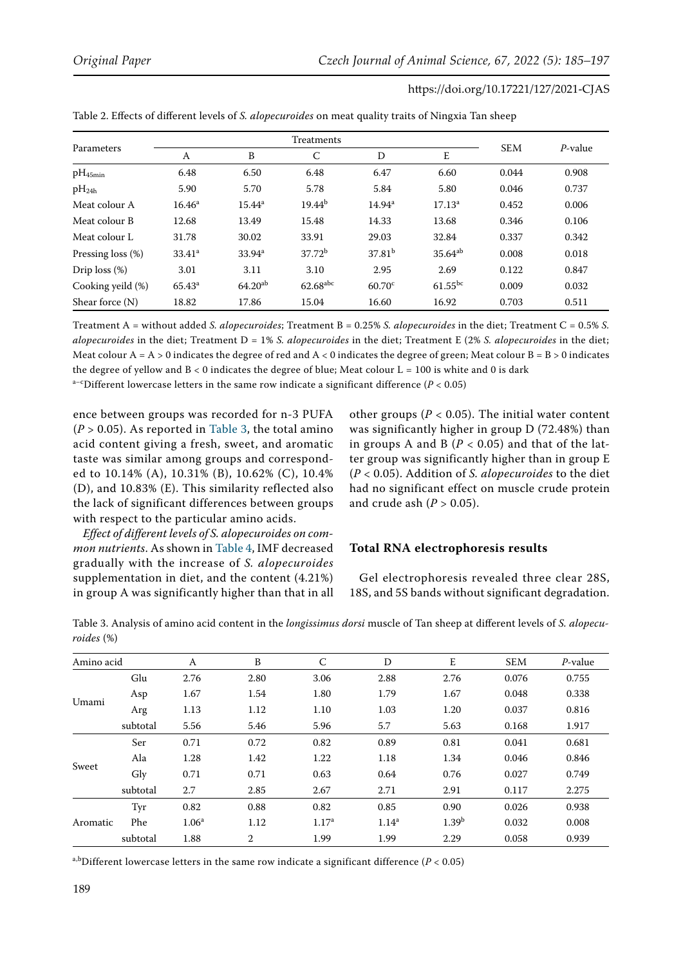| Parameters           | A               | B                  | C                      | D                  | E            | <b>SEM</b> | P-value |
|----------------------|-----------------|--------------------|------------------------|--------------------|--------------|------------|---------|
| $pH_{45min}$         | 6.48            | 6.50               | 6.48                   | 6.47               | 6.60         | 0.044      | 0.908   |
| $pH_{24h}$           | 5.90            | 5.70               | 5.78                   | 5.84               | 5.80         | 0.046      | 0.737   |
| Meat colour A        | $16.46^{\circ}$ | $15.44^{\rm a}$    | $19.44^{b}$            | $14.94^{\rm a}$    | $17.13^a$    | 0.452      | 0.006   |
| Meat colour B        | 12.68           | 13.49              | 15.48                  | 14.33              | 13.68        | 0.346      | 0.106   |
| Meat colour L        | 31.78           | 30.02              | 33.91                  | 29.03              | 32.84        | 0.337      | 0.342   |
| Pressing loss $(\%)$ | $33.41^a$       | 33.94 <sup>a</sup> | $37.72^b$              | 37.81 <sup>b</sup> | $35.64^{ab}$ | 0.008      | 0.018   |
| Drip $loss (\%)$     | 3.01            | 3.11               | 3.10                   | 2.95               | 2.69         | 0.122      | 0.847   |
| Cooking yeild (%)    | $65.43^{\circ}$ | $64.20^{ab}$       | $62.68$ <sup>abc</sup> | $60.70^{\circ}$    | $61.55^{bc}$ | 0.009      | 0.032   |
| Shear force $(N)$    | 18.82           | 17.86              | 15.04                  | 16.60              | 16.92        | 0.703      | 0.511   |

| Table 2. Effects of different levels of S. alopecuroides on meat quality traits of Ningxia Tan sheep |  |  |
|------------------------------------------------------------------------------------------------------|--|--|
|------------------------------------------------------------------------------------------------------|--|--|

Treatment A = without added *S. alopecuroides*; Treatment B = 0.25% *S. alopecuroides* in the diet; Treatment C = 0.5% *S. alopecuroides* in the diet; Treatment D = 1% *S. alopecuroides* in the diet; Treatment E (2% *S. alopecuroides* in the diet; Meat colour  $A = A > 0$  indicates the degree of red and  $A < 0$  indicates the degree of green; Meat colour  $B = B > 0$  indicates the degree of yellow and  $B < 0$  indicates the degree of blue; Meat colour  $L = 100$  is white and 0 is dark a<sup>-c</sup>Different lowercase letters in the same row indicate a significant difference ( $P < 0.05$ )

ence between groups was recorded for n-3 PUFA  $(P > 0.05)$ . As reported in Table 3, the total amino acid content giving a fresh, sweet, and aromatic taste was similar among groups and corresponded to 10.14% (A), 10.31% (B), 10.62% (C), 10.4% (D), and 10.83% (E). This similarity reflected also the lack of significant differences between groups with respect to the particular amino acids.

*Effect of different levels of S. alopecuroides on common nutrients*. As shown in Table 4, IMF decreased gradually with the increase of *S. alopecuroides*  supplementation in diet, and the content (4.21%) in group A was significantly higher than that in all other groups ( $P < 0.05$ ). The initial water content was significantly higher in group D (72.48%) than in groups A and B ( $P < 0.05$ ) and that of the latter group was significantly higher than in group E (*P* < 0.05). Addition of *S. alopecuroides* to the diet had no significant effect on muscle crude protein and crude ash  $(P > 0.05)$ .

#### **Total RNA electrophoresis results**

Gel electrophoresis revealed three clear 28S, 18S, and 5S bands without significant degradation.

Table 3. Analysis of amino acid content in the *longissimus dorsi* muscle of Tan sheep at different levels of *S. alopecuroides* (%)

| Amino acid |          | A                 | B              | $\mathsf{C}$      | D              | E                 | <b>SEM</b> | $P$ -value |
|------------|----------|-------------------|----------------|-------------------|----------------|-------------------|------------|------------|
| Umami      | Glu      | 2.76              | 2.80           | 3.06              | 2.88           | 2.76              | 0.076      | 0.755      |
|            | Asp      | 1.67              | 1.54           | 1.80              | 1.79           | 1.67              | 0.048      | 0.338      |
|            | Arg      | 1.13              | 1.12           | 1.10              | 1.03           | 1.20              | 0.037      | 0.816      |
|            | subtotal | 5.56              | 5.46           | 5.96              | 5.7            | 5.63              | 0.168      | 1.917      |
| Sweet      | Ser      | 0.71              | 0.72           | 0.82              | 0.89           | 0.81              | 0.041      | 0.681      |
|            | Ala      | 1.28              | 1.42           | 1.22              | 1.18           | 1.34              | 0.046      | 0.846      |
|            | Gly      | 0.71              | 0.71           | 0.63              | 0.64           | 0.76              | 0.027      | 0.749      |
|            | subtotal | 2.7               | 2.85           | 2.67              | 2.71           | 2.91              | 0.117      | 2.275      |
| Aromatic   | Tyr      | 0.82              | 0.88           | 0.82              | 0.85           | 0.90              | 0.026      | 0.938      |
|            | Phe      | 1.06 <sup>a</sup> | 1.12           | 1.17 <sup>a</sup> | $1.14^{\rm a}$ | 1.39 <sup>b</sup> | 0.032      | 0.008      |
|            | subtotal | 1.88              | $\overline{2}$ | 1.99              | 1.99           | 2.29              | 0.058      | 0.939      |

a,bDifferent lowercase letters in the same row indicate a significant difference ( $P < 0.05$ )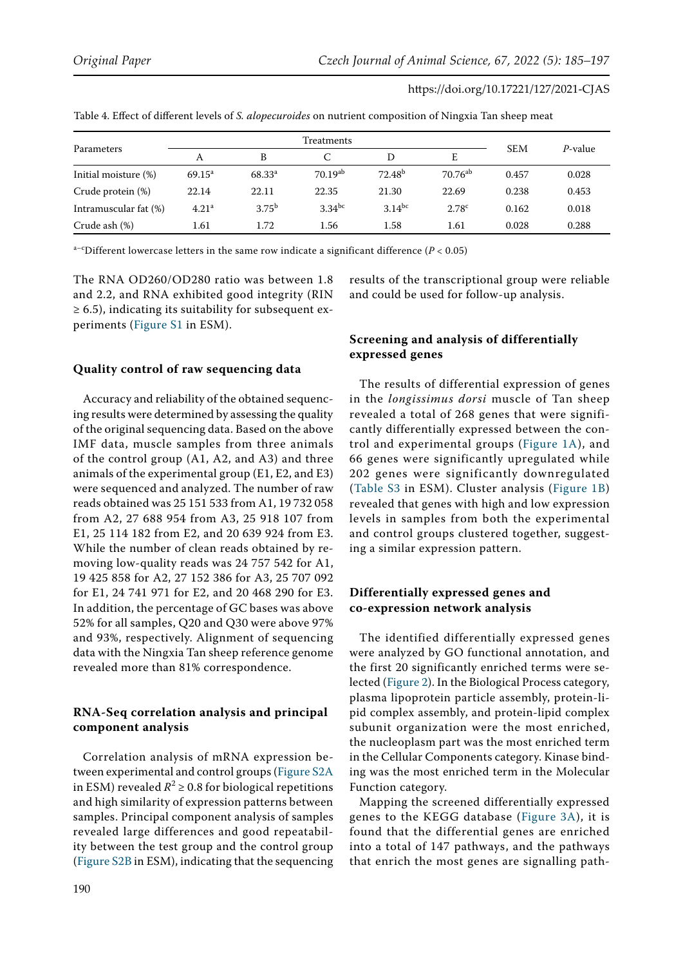|                       | Treatments        |             |                      |                    |                   |            |         |
|-----------------------|-------------------|-------------|----------------------|--------------------|-------------------|------------|---------|
| Parameters            | A                 | B           |                      | D                  | E                 | <b>SEM</b> | P-value |
| Initial moisture (%)  | $69.15^{\circ}$   | $68.33^{a}$ | $70.19^{ab}$         | 72.48 <sup>b</sup> | $70.76^{ab}$      | 0.457      | 0.028   |
| Crude protein (%)     | 22.14             | 22.11       | 22.35                | 21.30              | 22.69             | 0.238      | 0.453   |
| Intramuscular fat (%) | 4.21 <sup>a</sup> | $3.75^{b}$  | $3.34$ <sup>bc</sup> | $3.14^{bc}$        | 2.78 <sup>c</sup> | 0.162      | 0.018   |
| Crude ash (%)         | 1.61              | 1.72        | 1.56                 | 1.58               | 1.61              | 0.028      | 0.288   |

Table 4. Effect of different levels of *S. alopecuroides* on nutrient composition of Ningxia Tan sheep meat

a<sup>-c</sup>Different lowercase letters in the same row indicate a significant difference ( $P < 0.05$ )

The RNA OD260/OD280 ratio was between 1.8 and 2.2, and RNA exhibited good integrity (RIN  $\geq$  6.5), indicating its suitability for subsequent experiments ([Figure S1](https://www.agriculturejournals.cz/web/cjas.htm?type=easForDoiArticle&id=127_2021-CJAS) in ESM).

#### **Quality control of raw sequencing data**

Accuracy and reliability of the obtained sequencing results were determined by assessing the quality of the original sequencing data. Based on the above IMF data, muscle samples from three animals of the control group (A1, A2, and A3) and three animals of the experimental group (E1, E2, and E3) were sequenced and analyzed. The number of raw reads obtained was 25 151 533 from A1, 19 732 058 from A2, 27 688 954 from A3, 25 918 107 from E1, 25 114 182 from E2, and 20 639 924 from E3. While the number of clean reads obtained by removing low-quality reads was 24 757 542 for A1, 19 425 858 for A2, 27 152 386 for A3, 25 707 092 for E1, 24 741 971 for E2, and 20 468 290 for E3. In addition, the percentage of GC bases was above 52% for all samples, Q20 and Q30 were above 97% and 93%, respectively. Alignment of sequencing data with the Ningxia Tan sheep reference genome revealed more than 81% correspondence.

# **RNA-Seq correlation analysis and principal component analysis**

Correlation analysis of mRNA expression between experimental and control groups ([Figure S2A](https://www.agriculturejournals.cz/web/cjas.htm?type=easForDoiArticle&id=127_2021-CJAS) in ESM) revealed  $R^2 \ge 0.8$  for biological repetitions and high similarity of expression patterns between samples. Principal component analysis of samples revealed large differences and good repeatability between the test group and the control group [\(Figure S2B](https://www.agriculturejournals.cz/web/cjas.htm?type=easForDoiArticle&id=127_2021-CJAS) in ESM), indicating that the sequencing

results of the transcriptional group were reliable and could be used for follow-up analysis.

# **Screening and analysis of differentially expressed genes**

The results of differential expression of genes in the *longissimus dorsi* muscle of Tan sheep revealed a total of 268 genes that were significantly differentially expressed between the control and experimental groups ([Figure 1A\)](#page-6-0), and 66 genes were significantly upregulated while 202 genes were significantly downregulated ([Table S3](https://www.agriculturejournals.cz/web/cjas.htm?type=easForDoiArticle&id=127_2021-CJAS) in ESM). Cluster analysis ([Figure 1B](#page-6-1)) revealed that genes with high and low expression levels in samples from both the experimental and control groups clustered together, suggesting a similar expression pattern.

#### **Differentially expressed genes and co-expression network analysis**

The identified differentially expressed genes were analyzed by GO functional annotation, and the first 20 significantly enriched terms were selected [\(Figure 2](#page-7-0)). In the Biological Process category, plasma lipoprotein particle assembly, protein-lipid complex assembly, and protein-lipid complex subunit organization were the most enriched, the nucleoplasm part was the most enriched term in the Cellular Components category. Kinase binding was the most enriched term in the Molecular Function category.

Mapping the screened differentially expressed genes to the KEGG database ([Figure 3A](#page-8-0)), it is found that the differential genes are enriched into a total of 147 pathways, and the pathways that enrich the most genes are signalling path-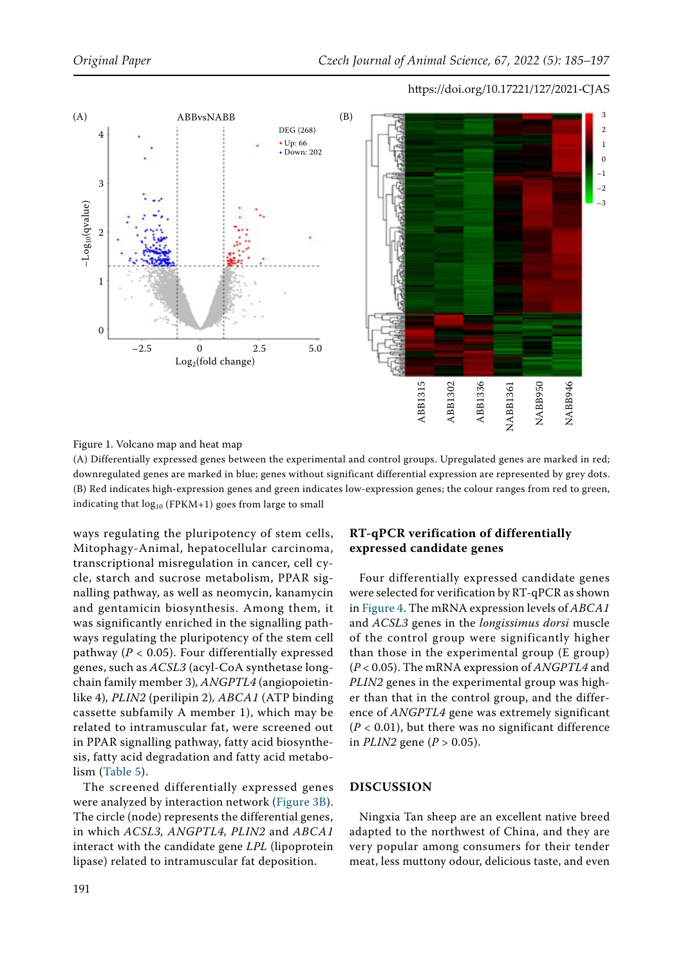<span id="page-6-1"></span><span id="page-6-0"></span>

#### Figure 1. Volcano map and heat map

(A) Differentially expressed genes between the experimental and control groups. Upregulated genes are marked in red; downregulated genes are marked in blue; genes without significant differential expression are represented by grey dots. (B) Red indicates high-expression genes and green indicates low-expression genes; the colour ranges from red to green, indicating that  $log_{10}$  (FPKM+1) goes from large to small

ways regulating the pluripotency of stem cells, Mitophagy-Animal, hepatocellular carcinoma, transcriptional misregulation in cancer, cell cycle, starch and sucrose metabolism, PPAR signalling pathway, as well as neomycin, kanamycin and gentamicin biosynthesis. Among them, it was significantly enriched in the signalling pathways regulating the pluripotency of the stem cell pathway (*P* < 0.05). Four differentially expressed genes, such as *ACSL3* (acyl-CoA synthetase longchain family member 3)*, ANGPTL4* (angiopoietinlike 4)*, PLIN2* (perilipin 2)*, ABCA1* (ATP binding cassette subfamily A member 1), which may be related to intramuscular fat, were screened out in PPAR signalling pathway, fatty acid biosynthesis, fatty acid degradation and fatty acid metabolism (Table 5).

The screened differentially expressed genes were analyzed by interaction network ([Figure 3B\)](#page-8-1). The circle (node) represents the differential genes, in which *ACSL3, ANGPTL4, PLIN2* and *ABCA1* interact with the candidate gene *LPL* (lipoprotein lipase) related to intramuscular fat deposition.

# **RT-qPCR verification of differentially expressed candidate genes**

Four differentially expressed candidate genes were selected for verification by RT-qPCR as shown in [Figure 4.](#page-9-0) The mRNA expression levels of *ABCA1* and *ACSL3* genes in the *longissimus dorsi* muscle of the control group were significantly higher than those in the experimental group (E group) (*P* < 0.05). The mRNA expression of *ANGPTL4* and *PLIN2* genes in the experimental group was higher than that in the control group, and the difference of *ANGPTL4* gene was extremely significant  $(P < 0.01)$ , but there was no significant difference in *PLIN2* gene ( $P > 0.05$ ).

# **DISCUSSION**

Ningxia Tan sheep are an excellent native breed adapted to the northwest of China, and they are very popular among consumers for their tender meat, less muttony odour, delicious taste, and even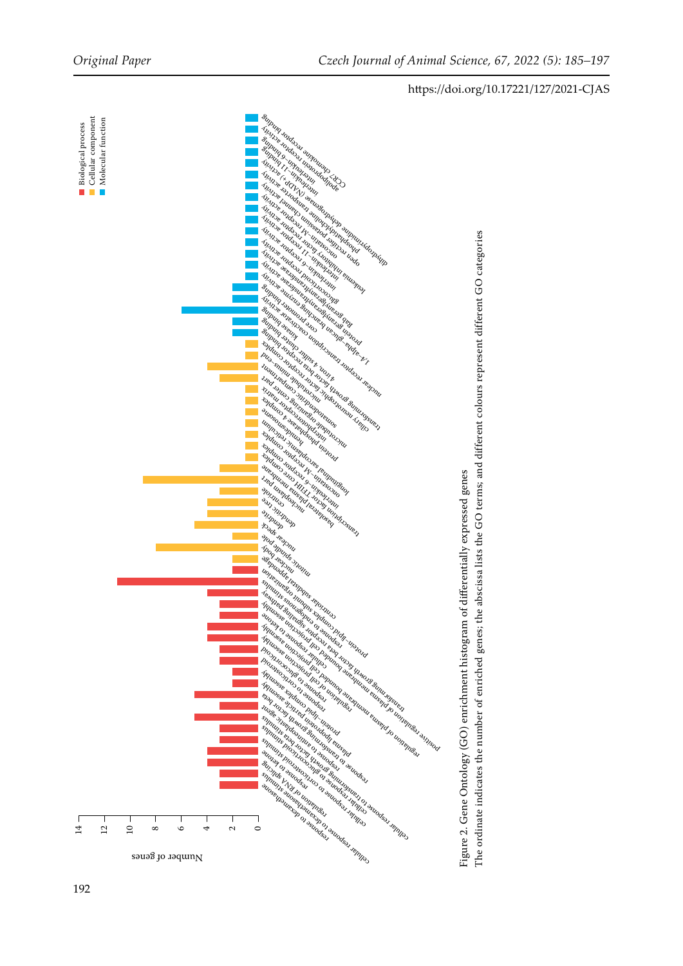<span id="page-7-0"></span>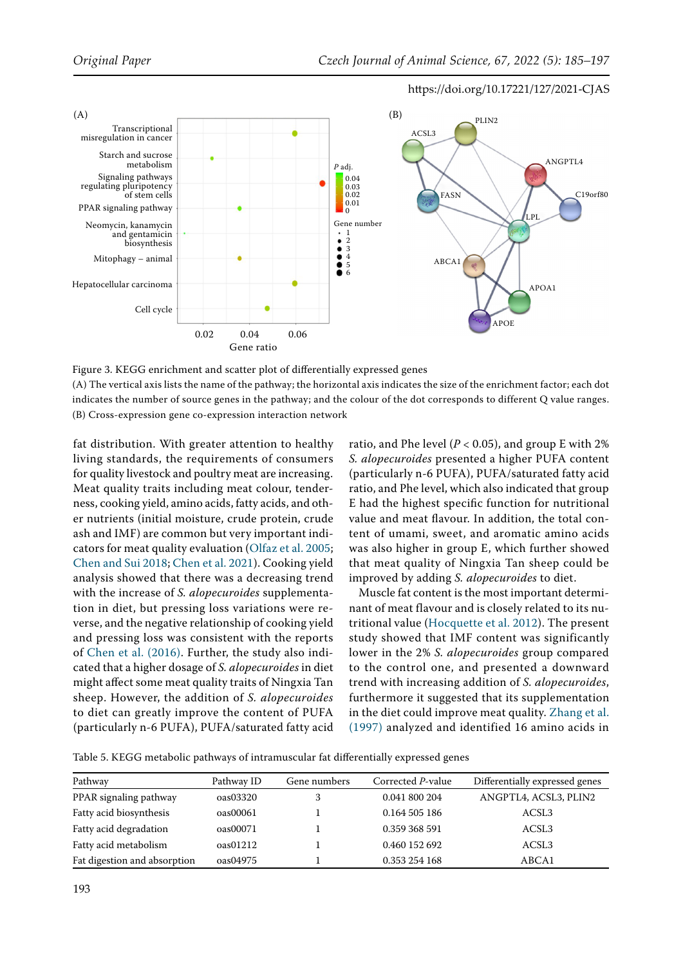<span id="page-8-1"></span><span id="page-8-0"></span>

Figure 3. KEGG enrichment and scatter plot of differentially expressed genes

(A) The vertical axis lists the name of the pathway; the horizontal axis indicates the size of the enrichment factor; each dot indicates the number of source genes in the pathway; and the colour of the dot corresponds to different Q value ranges. (B) Cross-expression gene co-expression interaction network

fat distribution. With greater attention to healthy living standards, the requirements of consumers for quality livestock and poultry meat are increasing. Meat quality traits including meat colour, tenderness, cooking yield, amino acids, fatty acids, and other nutrients (initial moisture, crude protein, crude ash and IMF) are common but very important indicators for meat quality evaluation [\(Olfaz et al. 2005](#page-12-4); [Chen and Sui 2018](#page-11-2); [Chen et al. 2021](#page-11-1)). Cooking yield analysis showed that there was a decreasing trend with the increase of *S. alopecuroides* supplementation in diet, but pressing loss variations were reverse, and the negative relationship of cooking yield and pressing loss was consistent with the reports of [Chen et al. \(2016\).](#page-11-4) Further, the study also indicated that a higher dosage of *S. alopecuroides* in diet might affect some meat quality traits of Ningxia Tan sheep. However, the addition of *S. alopecuroides*  to diet can greatly improve the content of PUFA (particularly n-6 PUFA), PUFA/saturated fatty acid ratio, and Phe level ( $P < 0.05$ ), and group E with 2% *S. alopecuroides* presented a higher PUFA content (particularly n-6 PUFA), PUFA/saturated fatty acid ratio, and Phe level, which also indicated that group E had the highest specific function for nutritional value and meat flavour. In addition, the total content of umami, sweet, and aromatic amino acids was also higher in group E, which further showed that meat quality of Ningxia Tan sheep could be improved by adding *S. alopecuroides* to diet.

Muscle fat content is the most important determinant of meat flavour and is closely related to its nutritional value [\(Hocquette et al. 2012\)](#page-11-5). The present study showed that IMF content was significantly lower in the 2% *S. alopecuroides* group compared to the control one, and presented a downward trend with increasing addition of *S. alopecuroides*, furthermore it suggested that its supplementation in the diet could improve meat quality. [Zhang et al.](#page-12-5) [\(1997\)](#page-12-5) analyzed and identified 16 amino acids in

Table 5. KEGG metabolic pathways of intramuscular fat differentially expressed genes

| Pathway                      | Pathway ID | Gene numbers | Corrected P-value | Differentially expressed genes |
|------------------------------|------------|--------------|-------------------|--------------------------------|
| PPAR signaling pathway       | oas03320   |              | 0.041 800 204     | ANGPTL4, ACSL3, PLIN2          |
| Fatty acid biosynthesis      | oas00061   |              | 0.164 505 186     | ACSL <sub>3</sub>              |
| Fatty acid degradation       | oas00071   |              | 0.359 368 591     | ACSL <sub>3</sub>              |
| Fatty acid metabolism        | oas01212   |              | 0.460 152 692     | ACSL <sub>3</sub>              |
| Fat digestion and absorption | oas04975   |              | 0.353 254 168     | ABCA1                          |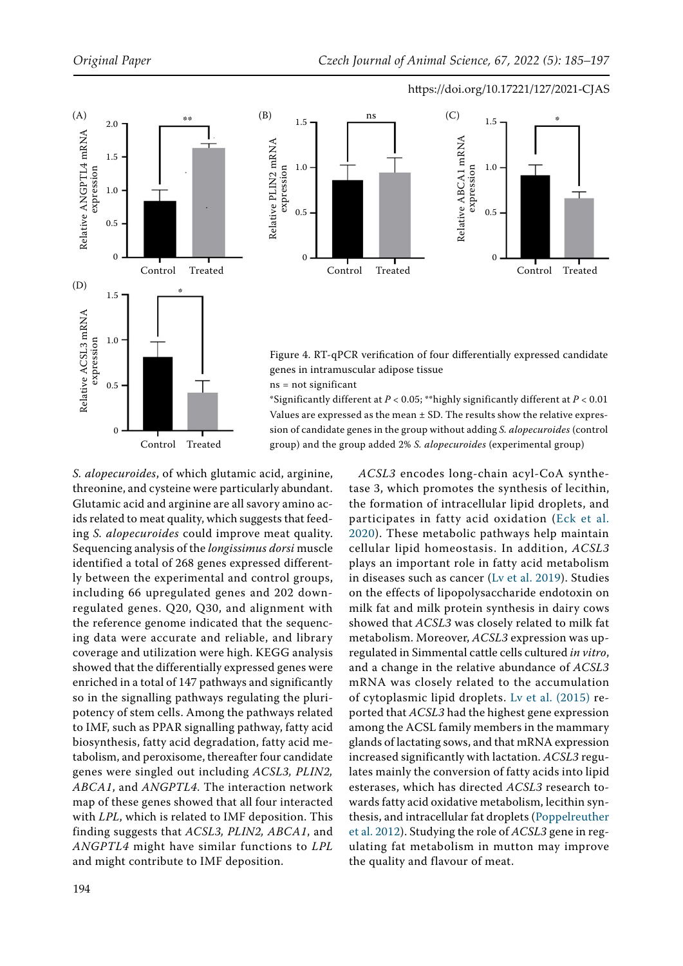<span id="page-9-0"></span>



Figure 4. RT-qPCR verification of four differentially expressed candidate genes in intramuscular adipose tissue

ns = not significant

\*Significantly different at *P* < 0.05; \*\*highly significantly different at *P* < 0.01 Values are expressed as the mean  $\pm$  SD. The results show the relative expression of candidate genes in the group without adding *S. alopecuroides* (control group) and the group added 2% *S. alopecuroides* (experimental group)

*S. alopecuroides*, of which glutamic acid, arginine, threonine, and cysteine were particularly abundant. Glutamic acid and arginine are all savory amino acids related to meat quality, which suggests that feeding *S. alopecuroides* could improve meat quality. Sequencing analysis of the *longissimus dorsi* muscle identified a total of 268 genes expressed differently between the experimental and control groups, including 66 upregulated genes and 202 downregulated genes. Q20, Q30, and alignment with the reference genome indicated that the sequencing data were accurate and reliable, and library coverage and utilization were high. KEGG analysis showed that the differentially expressed genes were enriched in a total of 147 pathways and significantly so in the signalling pathways regulating the pluripotency of stem cells. Among the pathways related to IMF, such as PPAR signalling pathway, fatty acid biosynthesis, fatty acid degradation, fatty acid metabolism, and peroxisome, thereafter four candidate genes were singled out including *ACSL3, PLIN2, ABCA1*, and *ANGPTL4*. The interaction network map of these genes showed that all four interacted with *LPL*, which is related to IMF deposition. This finding suggests that *ACSL3, PLIN2, ABCA1*, and *ANGPTL4* might have similar functions to *LPL* and might contribute to IMF deposition.

*ACSL3* encodes long-chain acyl-CoA synthetase 3, which promotes the synthesis of lecithin, the formation of intracellular lipid droplets, and participates in fatty acid oxidation ([Eck et al.](#page-11-6) [2020\)](#page-11-6). These metabolic pathways help maintain cellular lipid homeostasis. In addition, *ACSL3* plays an important role in fatty acid metabolism in diseases such as cancer ([Lv et al. 2019\)](#page-12-6). Studies on the effects of lipopolysaccharide endotoxin on milk fat and milk protein synthesis in dairy cows showed that *ACSL3* was closely related to milk fat metabolism. Moreover, *ACSL3* expression was upregulated in Simmental cattle cells cultured *in vitro*, and a change in the relative abundance of *ACSL3* mRNA was closely related to the accumulation of cytoplasmic lipid droplets. [Lv et al. \(2015\)](#page-11-7) reported that *ACSL3* had the highest gene expression among the ACSL family members in the mammary glands of lactating sows, and that mRNA expression increased significantly with lactation. *ACSL3* regulates mainly the conversion of fatty acids into lipid esterases, which has directed *ACSL3* research towards fatty acid oxidative metabolism, lecithin synthesis, and intracellular fat droplets ([Poppelreuther](#page-12-7) [et al. 2012\)](#page-12-7). Studying the role of *ACSL3* gene in regulating fat metabolism in mutton may improve the quality and flavour of meat.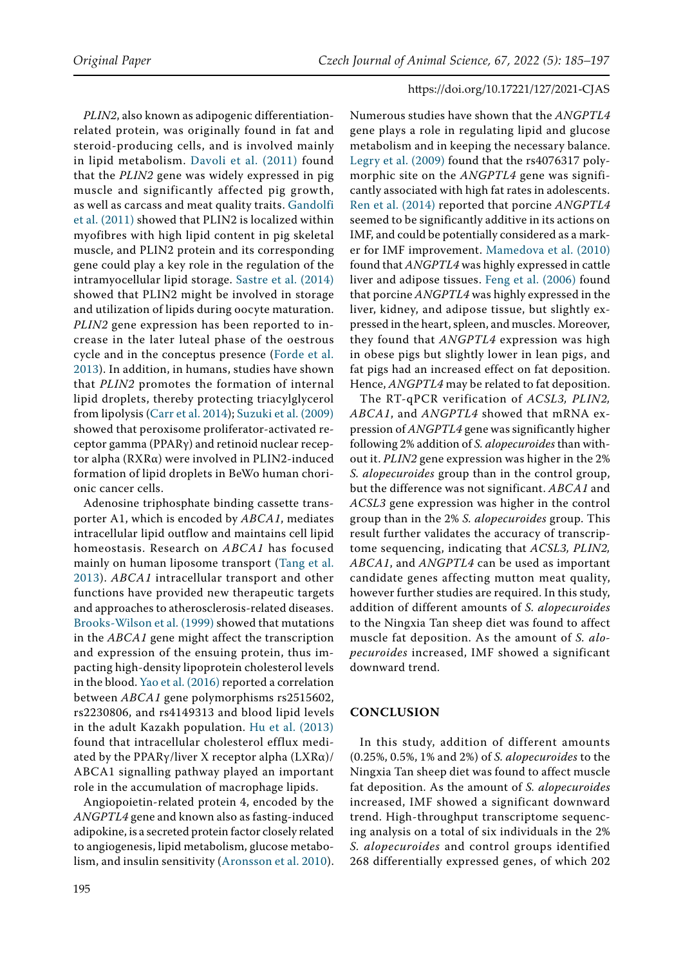*PLIN2*, also known as adipogenic differentiationrelated protein, was originally found in fat and steroid-producing cells, and is involved mainly in lipid metabolism. [Davoli et al. \(2011\)](#page-11-8) found that the *PLIN2* gene was widely expressed in pig muscle and significantly affected pig growth, as well as carcass and meat quality traits. [Gandolfi](#page-11-9) [et al. \(2011\)](#page-11-9) showed that PLIN2 is localized within myofibres with high lipid content in pig skeletal muscle, and PLIN2 protein and its corresponding gene could play a key role in the regulation of the intramyocellular lipid storage. [Sastre et al. \(2014\)](#page-12-8) showed that PLIN2 might be involved in storage and utilization of lipids during oocyte maturation. *PLIN2* gene expression has been reported to increase in the later luteal phase of the oestrous cycle and in the conceptus presence ([Forde et al.](#page-11-10)  [2013](#page-11-10)). In addition, in humans, studies have shown that *PLIN2* promotes the formation of internal lipid droplets, thereby protecting triacylglycerol from lipolysis ([Carr et al. 2014\)](#page-11-11); [Suzuki et al. \(2009\)](#page-12-9) showed that peroxisome proliferator-activated receptor gamma (PPARγ) and retinoid nuclear receptor alpha (RXRα) were involved in PLIN2-induced formation of lipid droplets in BeWo human chorionic cancer cells.

Adenosine triphosphate binding cassette transporter A1, which is encoded by *ABCA1*, mediates intracellular lipid outflow and maintains cell lipid homeostasis. Research on *ABCA1* has focused mainly on human liposome transport ([Tang et al.](#page-12-10) [2013\)](#page-12-10). *ABCA1* intracellular transport and other functions have provided new therapeutic targets and approaches to atherosclerosis-related diseases. [Brooks-Wilson et al. \(1999\)](#page-11-12) showed that mutations in the *ABCA1* gene might affect the transcription and expression of the ensuing protein, thus impacting high-density lipoprotein cholesterol levels in the blood. [Yao et al. \(2016\)](#page-12-11) reported a correlation between *ABCA1* gene polymorphisms rs2515602, rs2230806, and rs4149313 and blood lipid levels in the adult Kazakh population. [Hu et al. \(2013\)](#page-11-13) found that intracellular cholesterol efflux mediated by the PPAR $\gamma$ /liver X receptor alpha (LXR $\alpha$ )/ ABCA1 signalling pathway played an important role in the accumulation of macrophage lipids.

Angiopoietin-related protein 4, encoded by the *ANGPTL4* gene and known also as fasting-induced adipokine, is a secreted protein factor closely related to angiogenesis, lipid metabolism, glucose metabolism, and insulin sensitivity [\(Aronsson et al. 2010](#page-11-14)). Numerous studies have shown that the *ANGPTL4* gene plays a role in regulating lipid and glucose metabolism and in keeping the necessary balance. [Legry et al. \(2009\)](#page-11-15) found that the rs4076317 polymorphic site on the *ANGPTL4* gene was significantly associated with high fat rates in adolescents. [Ren et al. \(2014\)](#page-12-12) reported that porcine *ANGPTL4* seemed to be significantly additive in its actions on IMF, and could be potentially considered as a marker for IMF improvement. [Mamedova et al. \(2010\)](#page-12-13) found that *ANGPTL4* was highly expressed in cattle liver and adipose tissues. [Feng et al. \(2006\)](#page-11-16) found that porcine *ANGPTL4* was highly expressed in the liver, kidney, and adipose tissue, but slightly expressed in the heart, spleen, and muscles. Moreover, they found that *ANGPTL4* expression was high in obese pigs but slightly lower in lean pigs, and fat pigs had an increased effect on fat deposition. Hence, *ANGPTL4* may be related to fat deposition.

The RT-qPCR verification of *ACSL3, PLIN2, ABCA1*, and *ANGPTL4* showed that mRNA expression of *ANGPTL4* gene was significantly higher following 2% addition of *S. alopecuroides* than without it. *PLIN2* gene expression was higher in the 2% *S. alopecuroides* group than in the control group, but the difference was not significant. *ABCA1* and *ACSL3* gene expression was higher in the control group than in the 2% *S. alopecuroides* group. This result further validates the accuracy of transcriptome sequencing, indicating that *ACSL3, PLIN2, ABCA1*, and *ANGPTL4* can be used as important candidate genes affecting mutton meat quality, however further studies are required. In this study, addition of different amounts of *S. alopecuroides*  to the Ningxia Tan sheep diet was found to affect muscle fat deposition. As the amount of *S. alopecuroides* increased, IMF showed a significant downward trend.

#### **CONCLUSION**

In this study, addition of different amounts (0.25%, 0.5%, 1% and 2%) of *S. alopecuroides* to the Ningxia Tan sheep diet was found to affect muscle fat deposition. As the amount of *S. alopecuroides*  increased, IMF showed a significant downward trend. High-throughput transcriptome sequencing analysis on a total of six individuals in the 2% *S. alopecuroides* and control groups identified 268 differentially expressed genes, of which 202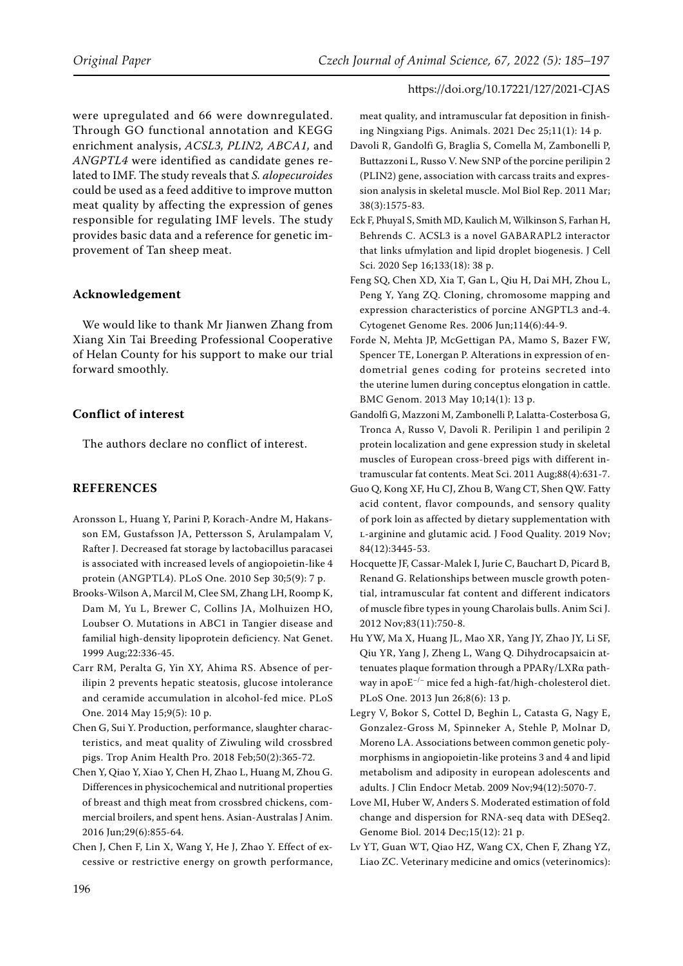were upregulated and 66 were downregulated. Through GO functional annotation and KEGG enrichment analysis, *ACSL3, PLIN2, ABCA1,* and *ANGPTL4* were identified as candidate genes related to IMF. The study reveals that *S. alopecuroides*  could be used as a feed additive to improve mutton meat quality by affecting the expression of genes responsible for regulating IMF levels. The study provides basic data and a reference for genetic improvement of Tan sheep meat.

# **Acknowledgement**

We would like to thank Mr Jianwen Zhang from Xiang Xin Tai Breeding Professional Cooperative of Helan County for his support to make our trial forward smoothly.

# **Conflict of interest**

The authors declare no conflict of interest.

## **REFERENCES**

- <span id="page-11-14"></span>Aronsson L, Huang Y, Parini P, Korach-Andre M, Hakansson EM, Gustafsson JA, Pettersson S, Arulampalam V, Rafter J. Decreased fat storage by lactobacillus paracasei is associated with increased levels of angiopoietin-like 4 protein (ANGPTL4). PLoS One. 2010 Sep 30;5(9): 7 p.
- <span id="page-11-12"></span>Brooks-Wilson A, Marcil M, Clee SM, Zhang LH, Roomp K, Dam M, Yu L, Brewer C, Collins JA, Molhuizen HO, Loubser O. Mutations in ABC1 in Tangier disease and familial high-density lipoprotein deficiency. Nat Genet. 1999 Aug;22:336-45.
- <span id="page-11-11"></span>Carr RM, Peralta G, Yin XY, Ahima RS. Absence of perilipin 2 prevents hepatic steatosis, glucose intolerance and ceramide accumulation in alcohol-fed mice. PLoS One. 2014 May 15;9(5): 10 p.
- <span id="page-11-2"></span>Chen G, Sui Y. Production, performance, slaughter characteristics, and meat quality of Ziwuling wild crossbred pigs. Trop Anim Health Pro. 2018 Feb;50(2):365-72.
- <span id="page-11-4"></span>Chen Y, Qiao Y, Xiao Y, Chen H, Zhao L, Huang M, Zhou G. Differences in physicochemical and nutritional properties of breast and thigh meat from crossbred chickens, commercial broilers, and spent hens. Asian-Australas J Anim. 2016 Jun;29(6):855-64.
- <span id="page-11-1"></span>Chen J, Chen F, Lin X, Wang Y, He J, Zhao Y. Effect of excessive or restrictive energy on growth performance,

meat quality, and intramuscular fat deposition in finishing Ningxiang Pigs. Animals. 2021 Dec 25;11(1): 14 p.

- <span id="page-11-8"></span>Davoli R, Gandolfi G, Braglia S, Comella M, Zambonelli P, Buttazzoni L, Russo V. New SNP of the porcine perilipin 2 (PLIN2) gene, association with carcass traits and expression analysis in skeletal muscle. Mol Biol Rep. 2011 Mar; 38(3):1575-83.
- <span id="page-11-6"></span>Eck F, Phuyal S, Smith MD, Kaulich M, Wilkinson S, Farhan H, Behrends C. ACSL3 is a novel GABARAPL2 interactor that links ufmylation and lipid droplet biogenesis. J Cell Sci. 2020 Sep 16;133(18): 38 p.
- <span id="page-11-16"></span>Feng SQ, Chen XD, Xia T, Gan L, Qiu H, Dai MH, Zhou L, Peng Y, Yang ZQ. Cloning, chromosome mapping and expression characteristics of porcine ANGPTL3 and-4. Cytogenet Genome Res. 2006 Jun;114(6):44-9.
- <span id="page-11-10"></span>Forde N, Mehta JP, McGettigan PA, Mamo S, Bazer FW, Spencer TE, Lonergan P. Alterations in expression of endometrial genes coding for proteins secreted into the uterine lumen during conceptus elongation in cattle. BMC Genom. 2013 May 10;14(1): 13 p.
- <span id="page-11-9"></span>Gandolfi G, Mazzoni M, Zambonelli P, Lalatta-Costerbosa G, Tronca A, Russo V, Davoli R. Perilipin 1 and perilipin 2 protein localization and gene expression study in skeletal muscles of European cross-breed pigs with different intramuscular fat contents. Meat Sci. 2011 Aug;88(4):631-7.
- <span id="page-11-0"></span>Guo Q, Kong XF, Hu CJ, Zhou B, Wang CT, Shen QW. Fatty acid content, flavor compounds, and sensory quality of pork loin as affected by dietary supplementation with l-arginine and glutamic acid*.* J Food Quality. 2019 Nov; 84(12):3445-53.
- <span id="page-11-5"></span>Hocquette JF, Cassar-Malek I, Jurie C, Bauchart D, Picard B, Renand G. Relationships between muscle growth potential, intramuscular fat content and different indicators of muscle fibre types in young Charolais bulls. Anim Sci J. 2012 Nov;83(11):750-8.
- <span id="page-11-13"></span>Hu YW, Ma X, Huang JL, Mao XR, Yang JY, Zhao JY, Li SF, Qiu YR, Yang J, Zheng L, Wang Q. Dihydrocapsaicin attenuates plaque formation through a PPARγ/LXRα pathway in apoE−/− mice fed a high-fat/high-cholesterol diet. PLoS One. 2013 Jun 26;8(6): 13 p.
- <span id="page-11-15"></span>Legry V, Bokor S, Cottel D, Beghin L, Catasta G, Nagy E, Gonzalez-Gross M, Spinneker A, Stehle P, Molnar D, Moreno LA. Associations between common genetic polymorphisms in angiopoietin-like proteins 3 and 4 and lipid metabolism and adiposity in european adolescents and adults. J Clin Endocr Metab. 2009 Nov;94(12):5070-7.
- <span id="page-11-3"></span>Love MI, Huber W, Anders S. Moderated estimation of fold change and dispersion for RNA-seq data with DESeq2. Genome Biol. 2014 Dec;15(12): 21 p.
- <span id="page-11-7"></span>Lv YT, Guan WT, Qiao HZ, Wang CX, Chen F, Zhang YZ, Liao ZC. Veterinary medicine and omics (veterinomics):